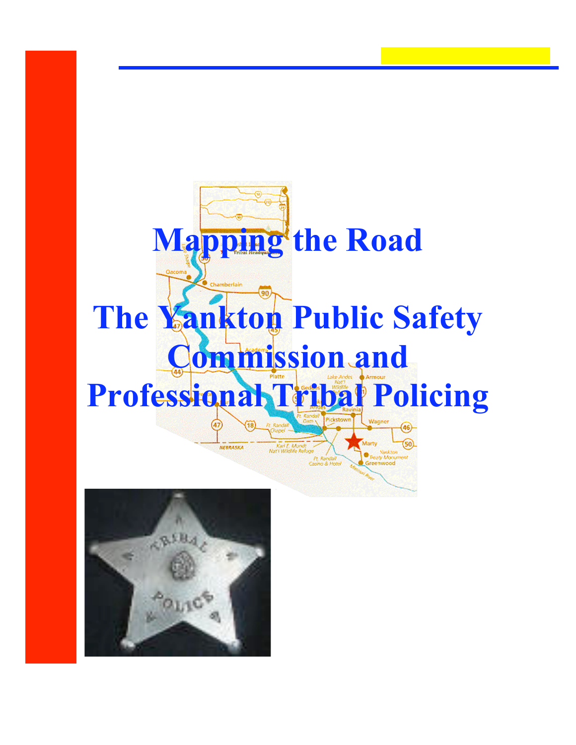

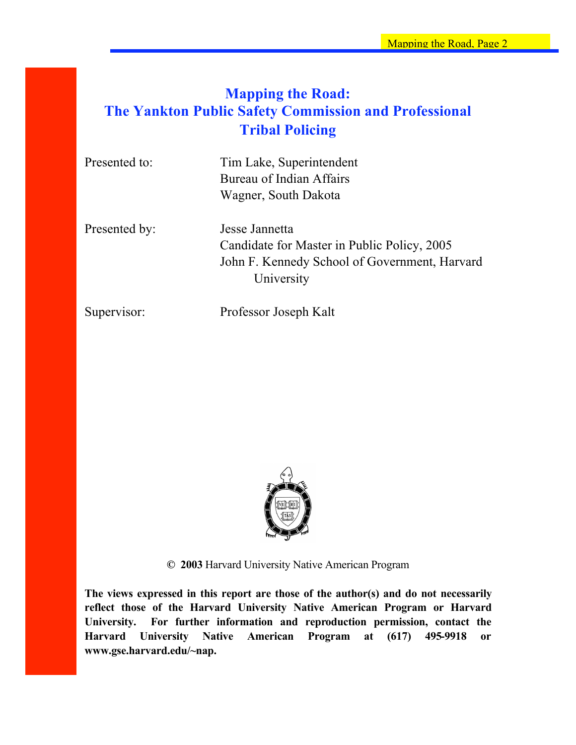# **Mapping the Road: The Yankton Public Safety Commission and Professional Tribal Policing**

| Presented to: | Tim Lake, Superintendent<br>Bureau of Indian Affairs |  |  |
|---------------|------------------------------------------------------|--|--|
|               |                                                      |  |  |
|               | Wagner, South Dakota                                 |  |  |
| Presented by: | Jesse Jannetta                                       |  |  |
|               | Candidate for Master in Public Policy, 2005          |  |  |
|               | John F. Kennedy School of Government, Harvard        |  |  |

University

Supervisor: Professor Joseph Kalt



**© 2003** Harvard University Native American Program

**The views expressed in this report are those of the author(s) and do not necessarily reflect those of the Harvard University Native American Program or Harvard University. For further information and reproduction permission, contact the Harvard University Native American Program at (617) 495-9918 or www.gse.harvard.edu/~nap.**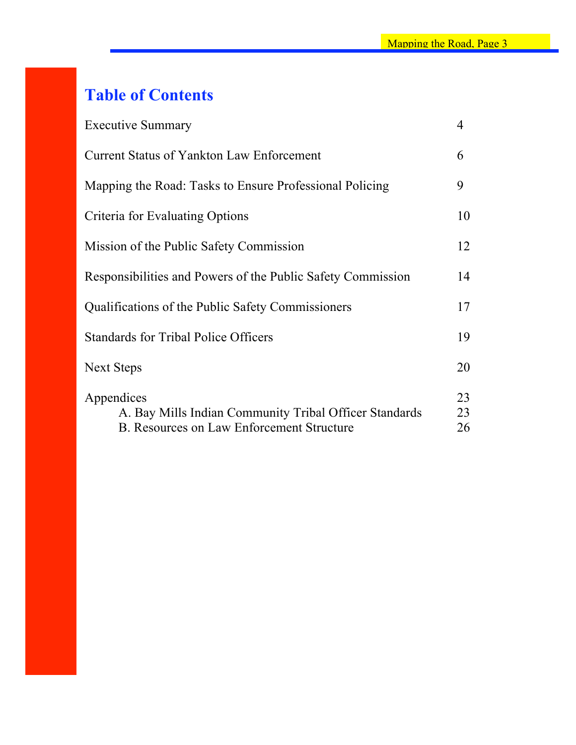# **Table of Contents**

| <b>Executive Summary</b>                                                                                          | $\overline{4}$ |
|-------------------------------------------------------------------------------------------------------------------|----------------|
| Current Status of Yankton Law Enforcement                                                                         | 6              |
| Mapping the Road: Tasks to Ensure Professional Policing                                                           | 9              |
| Criteria for Evaluating Options                                                                                   | 10             |
| Mission of the Public Safety Commission                                                                           | 12             |
| Responsibilities and Powers of the Public Safety Commission                                                       | 14             |
| Qualifications of the Public Safety Commissioners                                                                 | 17             |
| <b>Standards for Tribal Police Officers</b>                                                                       | 19             |
| Next Steps                                                                                                        | 20             |
| Appendices<br>A. Bay Mills Indian Community Tribal Officer Standards<br>B. Resources on Law Enforcement Structure | 23<br>23<br>26 |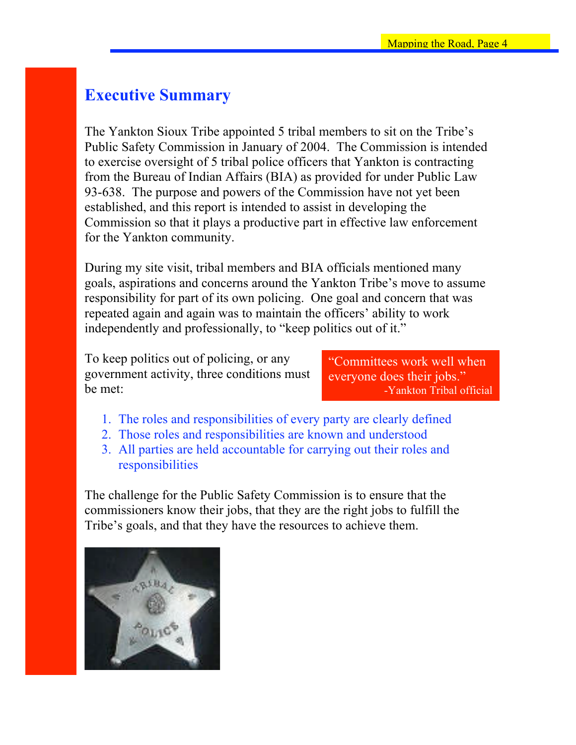# **Executive Summary**

The Yankton Sioux Tribe appointed 5 tribal members to sit on the Tribe's Public Safety Commission in January of 2004. The Commission is intended to exercise oversight of 5 tribal police officers that Yankton is contracting from the Bureau of Indian Affairs (BIA) as provided for under Public Law 93-638. The purpose and powers of the Commission have not yet been established, and this report is intended to assist in developing the Commission so that it plays a productive part in effective law enforcement for the Yankton community.

During my site visit, tribal members and BIA officials mentioned many goals, aspirations and concerns around the Yankton Tribe's move to assume responsibility for part of its own policing. One goal and concern that was repeated again and again was to maintain the officers' ability to work independently and professionally, to "keep politics out of it."

To keep politics out of policing, or any government activity, three conditions must be met:

"Committees work well when everyone does their jobs." -Yankton Tribal official

- 1. The roles and responsibilities of every party are clearly defined
- 2. Those roles and responsibilities are known and understood
- 3. All parties are held accountable for carrying out their roles and responsibilities

The challenge for the Public Safety Commission is to ensure that the commissioners know their jobs, that they are the right jobs to fulfill the Tribe's goals, and that they have the resources to achieve them.

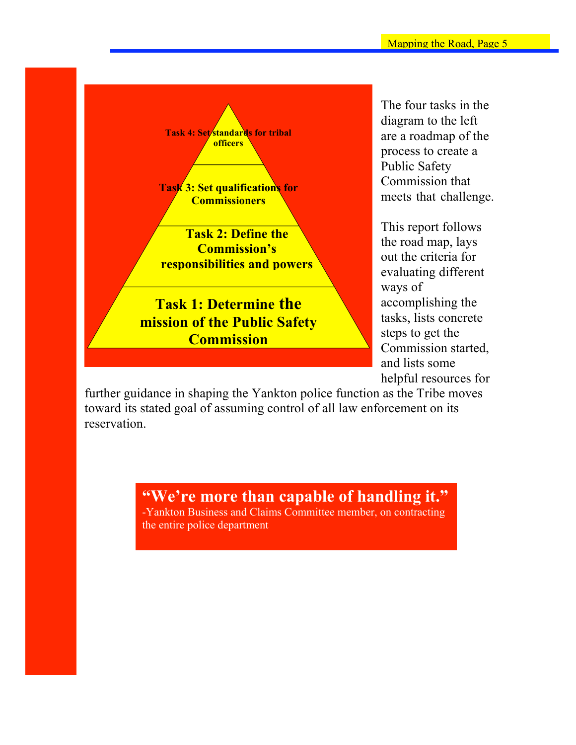

The four tasks in the diagram to the left are a roadmap of the process to create a Public Safety Commission that meets that challenge.

This report follows the road map, lays out the criteria for evaluating different ways of accomplishing the tasks, lists concrete steps to get the Commission started, and lists some helpful resources for

further guidance in shaping the Yankton police function as the Tribe moves toward its stated goal of assuming control of all law enforcement on its reservation.

> **"We're more than capable of handling it."**  -Yankton Business and Claims Committee member, on contracting

the entire police department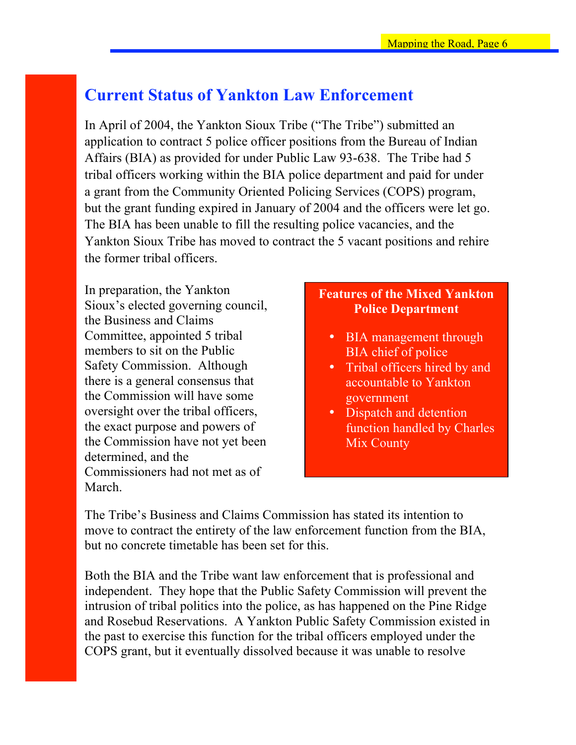# **Current Status of Yankton Law Enforcement**

In April of 2004, the Yankton Sioux Tribe ("The Tribe") submitted an application to contract 5 police officer positions from the Bureau of Indian Affairs (BIA) as provided for under Public Law 93-638. The Tribe had 5 tribal officers working within the BIA police department and paid for under a grant from the Community Oriented Policing Services (COPS) program, but the grant funding expired in January of 2004 and the officers were let go. The BIA has been unable to fill the resulting police vacancies, and the Yankton Sioux Tribe has moved to contract the 5 vacant positions and rehire the former tribal officers.

In preparation, the Yankton Sioux's elected governing council, the Business and Claims Committee, appointed 5 tribal members to sit on the Public Safety Commission. Although there is a general consensus that the Commission will have some oversight over the tribal officers, the exact purpose and powers of the Commission have not yet been determined, and the Commissioners had not met as of March.

## **Features of the Mixed Yankton Police Department**

- BIA management through BIA chief of police
- Tribal officers hired by and accountable to Yankton government
- Dispatch and detention function handled by Charles Mix County

The Tribe's Business and Claims Commission has stated its intention to move to contract the entirety of the law enforcement function from the BIA, but no concrete timetable has been set for this.

Both the BIA and the Tribe want law enforcement that is professional and independent. They hope that the Public Safety Commission will prevent the intrusion of tribal politics into the police, as has happened on the Pine Ridge and Rosebud Reservations. A Yankton Public Safety Commission existed in the past to exercise this function for the tribal officers employed under the COPS grant, but it eventually dissolved because it was unable to resolve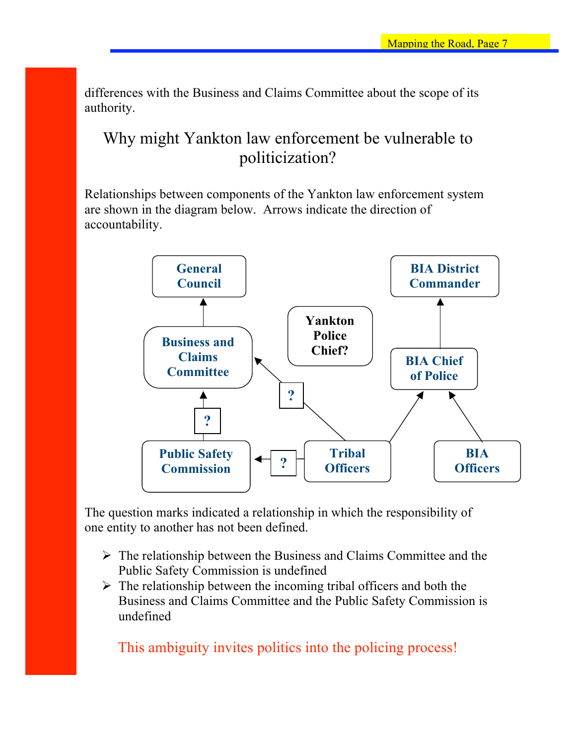differences with the Business and Claims Committee about the scope of its authority.

# Why might Yankton law enforcement be vulnerable to politicization?

Relationships between components of the Yankton law enforcement system are shown in the diagram below. Arrows indicate the direction of accountability.



The question marks indicated a relationship in which the responsibility of one entity to another has not been defined.

- $\triangleright$  The relationship between the Business and Claims Committee and the Public Safety Commission is undefined
- $\triangleright$  The relationship between the incoming tribal officers and both the Business and Claims Committee and the Public Safety Commission is undefined

This ambiguity invites politics into the policing process!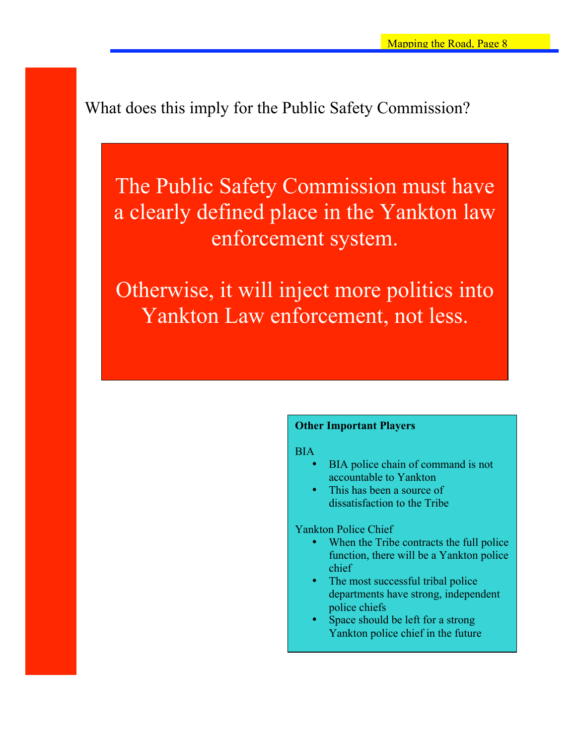What does this imply for the Public Safety Commission?

The Public Safety Commission must have a clearly defined place in the Yankton law enforcement system.

Otherwise, it will inject more politics into Yankton Law enforcement, not less.

### **Other Important Players**

**BIA** 

- BIA police chain of command is not accountable to Yankton
- This has been a source of dissatisfaction to the Tribe

Yankton Police Chief

- When the Tribe contracts the full police function, there will be a Yankton police chief
- The most successful tribal police departments have strong, independent police chiefs
- Space should be left for a strong Yankton police chief in the future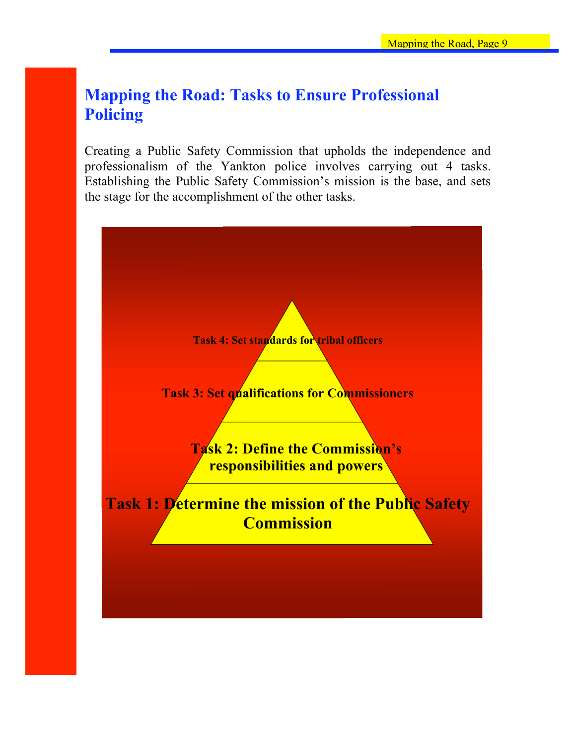# **Mapping the Road: Tasks to Ensure Professional Policing**

Creating a Public Safety Commission that upholds the independence and professionalism of the Yankton police involves carrying out 4 tasks. Establishing the Public Safety Commission's mission is the base, and sets the stage for the accomplishment of the other tasks.

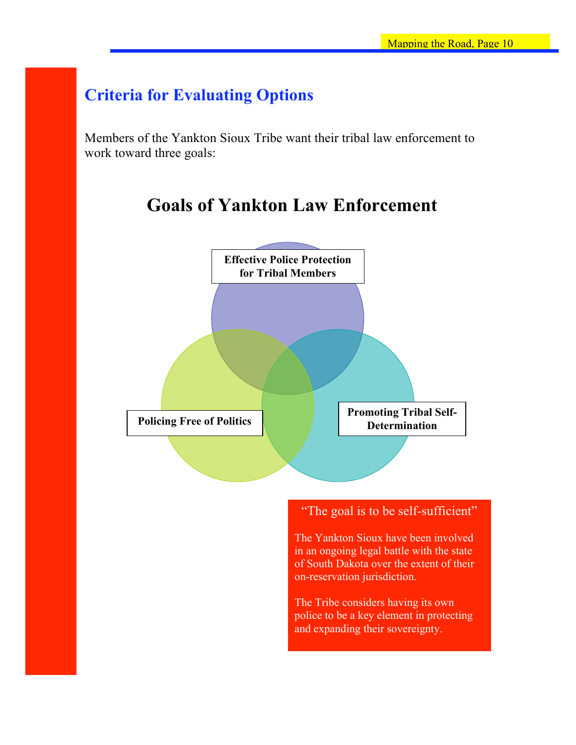# **Criteria for Evaluating Options**

Members of the Yankton Sioux Tribe want their tribal law enforcement to work toward three goals:

# **Goals of Yankton Law Enforcement**

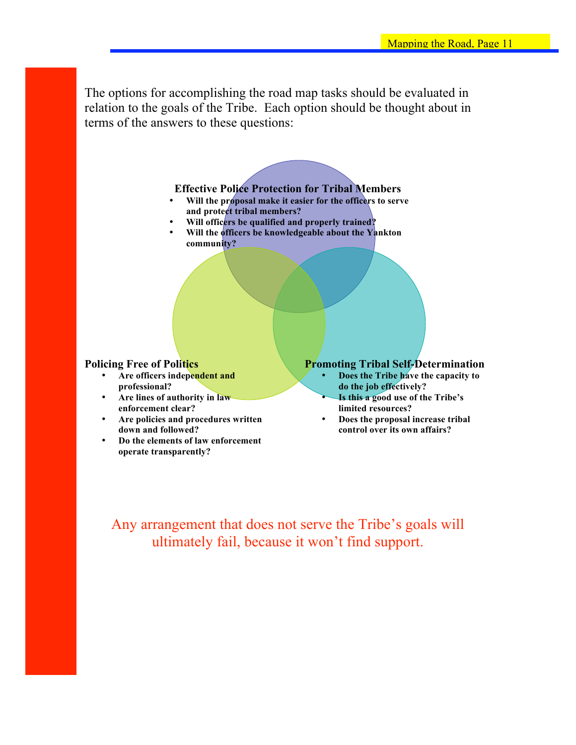The options for accomplishing the road map tasks should be evaluated in relation to the goals of the Tribe. Each option should be thought about in terms of the answers to these questions:

### **Effective Police Protection for Tribal Members**

- **Will the proposal make it easier for the officers to serve and protect tribal members?**
- **Will officers be qualified and properly trained?**
- **Will the officers be knowledgeable about the Yankton community?**

### **Policing Free of Politics**

- **Are officers independent and professional?**
- **Are lines of authority in law enforcement clear?**
- **Are policies and procedures written down and followed?**
- **Do the elements of law enforcement operate transparently?**

### **Promoting Tribal Self-Determination**

- **Does the Tribe have the capacity to do the job effectively?**
- **Is this a good use of the Tribe's limited resources?**
- **Does the proposal increase tribal control over its own affairs?**

Any arrangement that does not serve the Tribe's goals will ultimately fail, because it won't find support.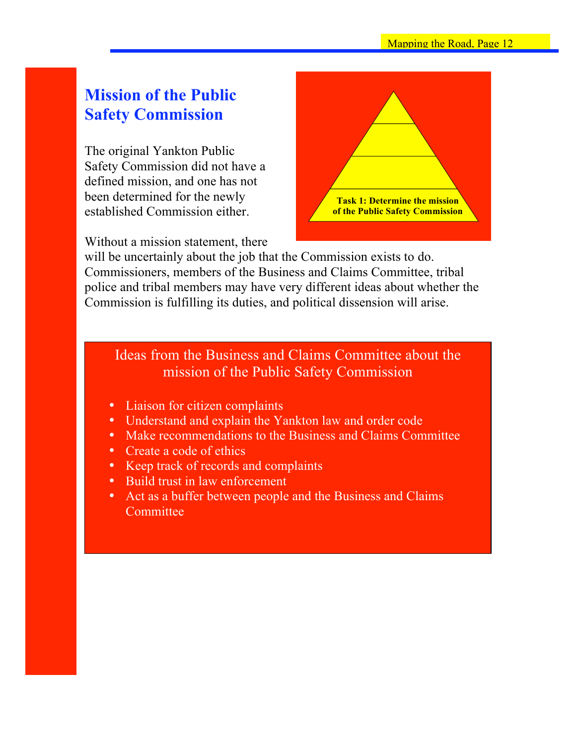# **Mission of the Public Safety Commission**

The original Yankton Public Safety Commission did not have a defined mission, and one has not been determined for the newly established Commission either.

Without a mission statement, there



will be uncertainly about the job that the Commission exists to do. Commissioners, members of the Business and Claims Committee, tribal police and tribal members may have very different ideas about whether the Commission is fulfilling its duties, and political dissension will arise.

Ideas from the Business and Claims Committee about the mission of the Public Safety Commission

- Liaison for citizen complaints
- Understand and explain the Yankton law and order code
- Make recommendations to the Business and Claims Committee
- Create a code of ethics
- Keep track of records and complaints
- Build trust in law enforcement
- Act as a buffer between people and the Business and Claims **Committee**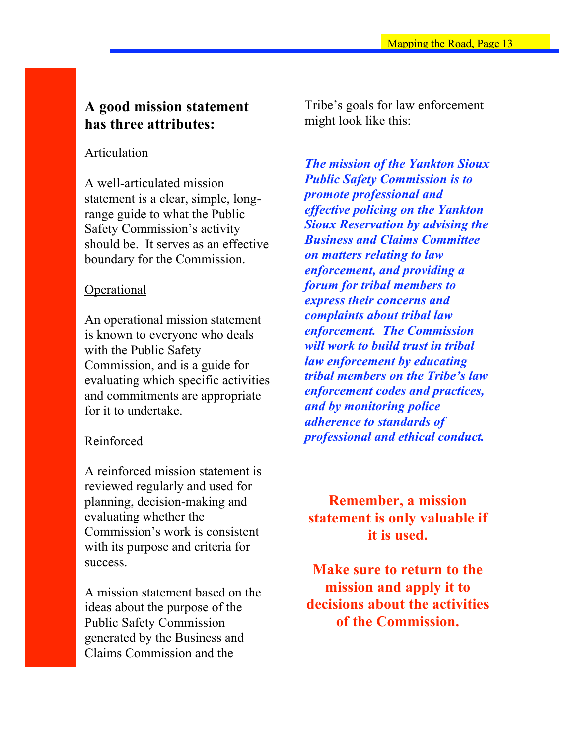## **A good mission statement has three attributes:**

### Articulation

A well-articulated mission statement is a clear, simple, longrange guide to what the Public Safety Commission's activity should be. It serves as an effective boundary for the Commission.

### Operational

An operational mission statement is known to everyone who deals with the Public Safety Commission, and is a guide for evaluating which specific activities and commitments are appropriate for it to undertake.

### Reinforced

A reinforced mission statement is reviewed regularly and used for planning, decision-making and evaluating whether the Commission's work is consistent with its purpose and criteria for success.

A mission statement based on the ideas about the purpose of the Public Safety Commission generated by the Business and Claims Commission and the

Tribe's goals for law enforcement might look like this:

*The mission of the Yankton Sioux Public Safety Commission is to promote professional and effective policing on the Yankton Sioux Reservation by advising the Business and Claims Committee on matters relating to law enforcement, and providing a forum for tribal members to express their concerns and complaints about tribal law enforcement. The Commission will work to build trust in tribal law enforcement by educating tribal members on the Tribe's law enforcement codes and practices, and by monitoring police adherence to standards of professional and ethical conduct.*

**Remember, a mission statement is only valuable if it is used.** 

**Make sure to return to the mission and apply it to decisions about the activities of the Commission.**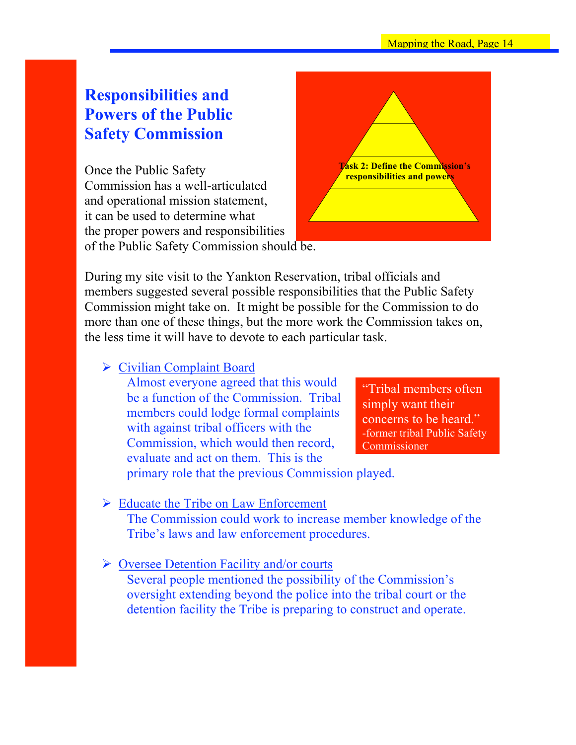# **Responsibilities and Powers of the Public Safety Commission**

Once the Public Safety Commission has a well-articulated and operational mission statement, it can be used to determine what the proper powers and responsibilities of the Public Safety Commission should be.



During my site visit to the Yankton Reservation, tribal officials and members suggested several possible responsibilities that the Public Safety Commission might take on. It might be possible for the Commission to do more than one of these things, but the more work the Commission takes on, the less time it will have to devote to each particular task.

## **► Civilian Complaint Board**

Almost everyone agreed that this would be a function of the Commission. Tribal members could lodge formal complaints with against tribal officers with the Commission, which would then record, evaluate and act on them. This is the

"Tribal members often simply want their concerns to be heard." -former tribal Public Safety Commissioner

primary role that the previous Commission played.

### $\triangleright$  Educate the Tribe on Law Enforcement

The Commission could work to increase member knowledge of the Tribe's laws and law enforcement procedures.

### $\triangleright$  Oversee Detention Facility and/or courts

Several people mentioned the possibility of the Commission's oversight extending beyond the police into the tribal court or the detention facility the Tribe is preparing to construct and operate.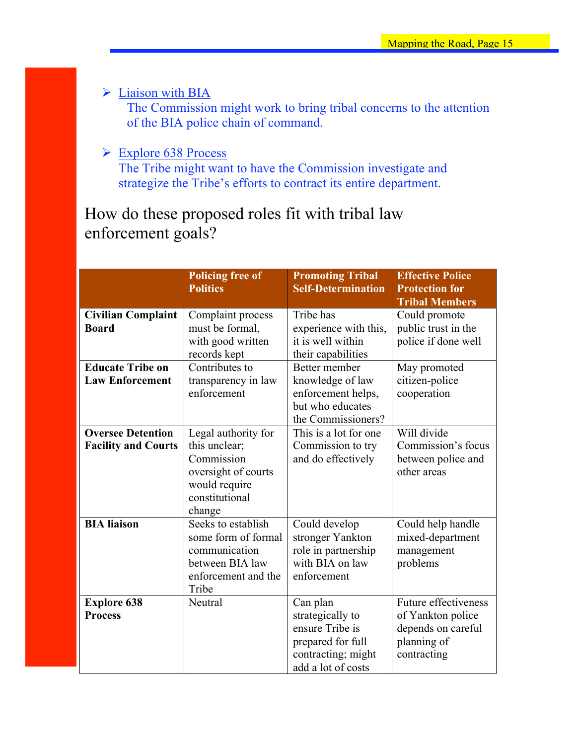$\triangleright$  Liaison with BIA

The Commission might work to bring tribal concerns to the attention of the BIA police chain of command.

Explore 638 Process

The Tribe might want to have the Commission investigate and strategize the Tribe's efforts to contract its entire department.

How do these proposed roles fit with tribal law enforcement goals?

|                                                        | <b>Policing free of</b><br><b>Politics</b>                                                                             | <b>Promoting Tribal</b><br><b>Self-Determination</b>                                                             | <b>Effective Police</b><br><b>Protection for</b><br><b>Tribal Members</b>                            |
|--------------------------------------------------------|------------------------------------------------------------------------------------------------------------------------|------------------------------------------------------------------------------------------------------------------|------------------------------------------------------------------------------------------------------|
| <b>Civilian Complaint</b><br><b>Board</b>              | Complaint process<br>must be formal,<br>with good written<br>records kept                                              | Tribe has<br>experience with this,<br>it is well within<br>their capabilities                                    | Could promote<br>public trust in the<br>police if done well                                          |
| <b>Educate Tribe on</b><br><b>Law Enforcement</b>      | Contributes to<br>transparency in law<br>enforcement                                                                   | Better member<br>knowledge of law<br>enforcement helps,<br>but who educates<br>the Commissioners?                | May promoted<br>citizen-police<br>cooperation                                                        |
| <b>Oversee Detention</b><br><b>Facility and Courts</b> | Legal authority for<br>this unclear;<br>Commission<br>oversight of courts<br>would require<br>constitutional<br>change | This is a lot for one<br>Commission to try<br>and do effectively                                                 | Will divide<br>Commission's focus<br>between police and<br>other areas                               |
| <b>BIA</b> liaison                                     | Seeks to establish<br>some form of formal<br>communication<br>between BIA law<br>enforcement and the<br>Tribe          | Could develop<br>stronger Yankton<br>role in partnership<br>with BIA on law<br>enforcement                       | Could help handle<br>mixed-department<br>management<br>problems                                      |
| <b>Explore 638</b><br><b>Process</b>                   | Neutral                                                                                                                | Can plan<br>strategically to<br>ensure Tribe is<br>prepared for full<br>contracting; might<br>add a lot of costs | <b>Future effectiveness</b><br>of Yankton police<br>depends on careful<br>planning of<br>contracting |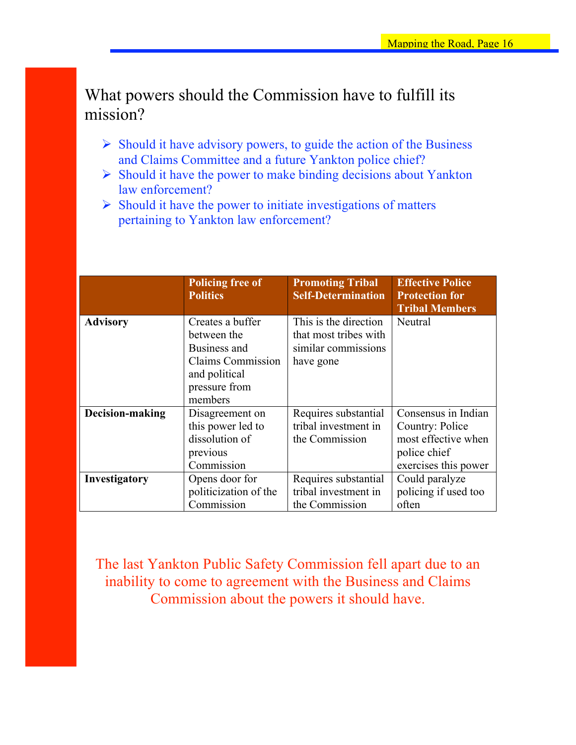# What powers should the Commission have to fulfill its mission?

- $\triangleright$  Should it have advisory powers, to guide the action of the Business and Claims Committee and a future Yankton police chief?
- $\triangleright$  Should it have the power to make binding decisions about Yankton law enforcement?
- $\triangleright$  Should it have the power to initiate investigations of matters pertaining to Yankton law enforcement?

|                 | <b>Policing free of</b><br><b>Politics</b> | <b>Promoting Tribal</b><br><b>Self-Determination</b> | <b>Effective Police</b><br><b>Protection for</b><br><b>Tribal Members</b> |
|-----------------|--------------------------------------------|------------------------------------------------------|---------------------------------------------------------------------------|
| <b>Advisory</b> | Creates a buffer                           | This is the direction                                | Neutral                                                                   |
|                 | between the                                | that most tribes with                                |                                                                           |
|                 | Business and                               | similar commissions                                  |                                                                           |
|                 | <b>Claims Commission</b>                   | have gone                                            |                                                                           |
|                 | and political                              |                                                      |                                                                           |
|                 | pressure from                              |                                                      |                                                                           |
|                 | members                                    |                                                      |                                                                           |
| Decision-making | Disagreement on                            | Requires substantial                                 | Consensus in Indian                                                       |
|                 | this power led to                          | tribal investment in                                 | Country: Police                                                           |
|                 | dissolution of                             | the Commission                                       | most effective when                                                       |
|                 | previous                                   |                                                      | police chief                                                              |
|                 | Commission                                 |                                                      | exercises this power                                                      |
| Investigatory   | Opens door for                             | Requires substantial                                 | Could paralyze                                                            |
|                 | politicization of the                      | tribal investment in                                 | policing if used too                                                      |
|                 | Commission                                 | the Commission                                       | often                                                                     |

The last Yankton Public Safety Commission fell apart due to an inability to come to agreement with the Business and Claims Commission about the powers it should have.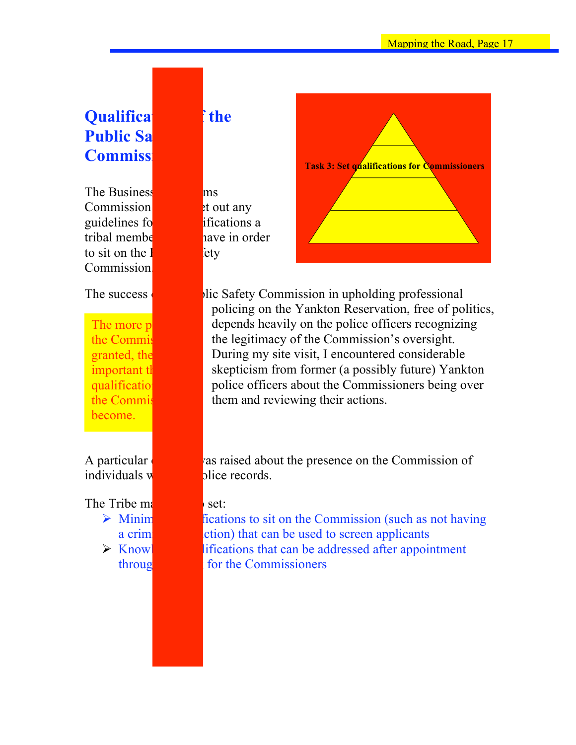# **Qualifications of the Public Sa Commiss**

The Business and Claims  $Common$  did not set out any guidelines for the entire ifications a tribal member show have in order to sit on the  $\mathbf{I}$ **Commission** 

The more p the Commis granted, the important the qualification the Commis become.

The Tribe  $m<sub>i</sub>$  wish to set:



The success  $\begin{bmatrix} \bullet & \bullet \\ \bullet & \bullet \end{bmatrix}$  lic Safety Commission in upholding professional policing on the Yankton Reservation, free of politics, depends heavily on the police officers recognizing the legitimacy of the Commission's oversight. During my site visit, I encountered considerable skepticism from former (a possibly future) Yankton police officers about the Commissioners being over them and reviewing their actions.

A particular as raised about the presence on the Commission of individuals  $\mathbf{w}$  has police records.

 $\triangleright$  Minimum contractions to sit on the Commission (such as not having a criming conviction that can be used to screen applicants  $\triangleright$  Knowledge  $\triangleright$  Knowledge if it is interested after appointment through the Commissioners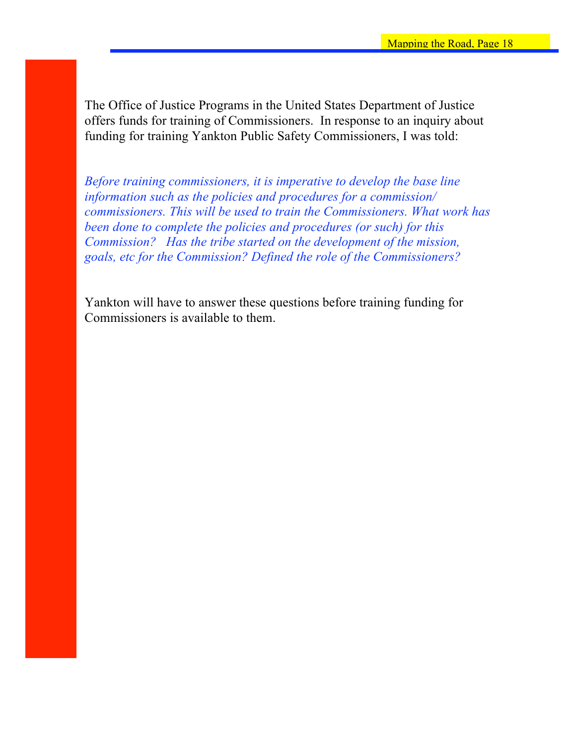The Office of Justice Programs in the United States Department of Justice offers funds for training of Commissioners. In response to an inquiry about funding for training Yankton Public Safety Commissioners, I was told:

*Before training commissioners, it is imperative to develop the base line information such as the policies and procedures for a commission/ commissioners. This will be used to train the Commissioners. What work has been done to complete the policies and procedures (or such) for this Commission? Has the tribe started on the development of the mission, goals, etc for the Commission? Defined the role of the Commissioners?* 

Yankton will have to answer these questions before training funding for Commissioners is available to them.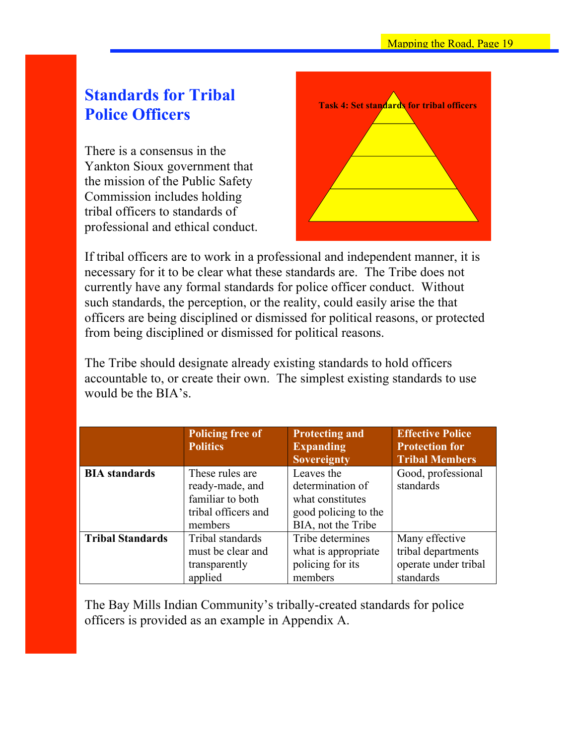# **Standards for Tribal Police Officers**

There is a consensus in the Yankton Sioux government that the mission of the Public Safety Commission includes holding tribal officers to standards of professional and ethical conduct.



If tribal officers are to work in a professional and independent manner, it is necessary for it to be clear what these standards are. The Tribe does not currently have any formal standards for police officer conduct. Without such standards, the perception, or the reality, could easily arise the that officers are being disciplined or dismissed for political reasons, or protected from being disciplined or dismissed for political reasons.

The Tribe should designate already existing standards to hold officers accountable to, or create their own. The simplest existing standards to use would be the BIA's.

|                         | <b>Policing free of</b><br><b>Politics</b>                                               | <b>Protecting and</b><br><b>Expanding</b><br><b>Sovereignty</b>                                  | <b>Effective Police</b><br><b>Protection for</b><br><b>Tribal Members</b> |
|-------------------------|------------------------------------------------------------------------------------------|--------------------------------------------------------------------------------------------------|---------------------------------------------------------------------------|
| <b>BIA</b> standards    | These rules are<br>ready-made, and<br>familiar to both<br>tribal officers and<br>members | Leaves the<br>determination of<br>what constitutes<br>good policing to the<br>BIA, not the Tribe | Good, professional<br>standards                                           |
| <b>Tribal Standards</b> | Tribal standards<br>must be clear and<br>transparently<br>applied                        | Tribe determines<br>what is appropriate.<br>policing for its<br>members                          | Many effective<br>tribal departments<br>operate under tribal<br>standards |

The Bay Mills Indian Community's tribally-created standards for police officers is provided as an example in Appendix A.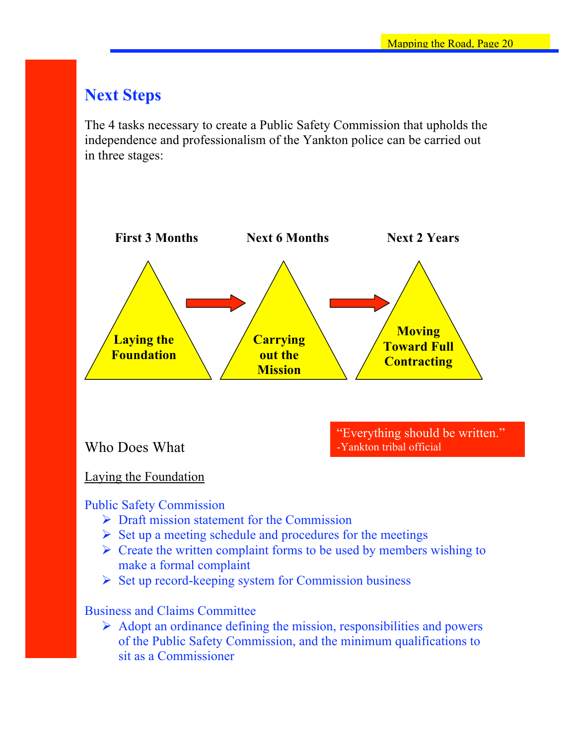# **Next Steps**

The 4 tasks necessary to create a Public Safety Commission that upholds the independence and professionalism of the Yankton police can be carried out in three stages:



## Laying the Foundation

### Public Safety Commission

- $\triangleright$  Draft mission statement for the Commission
- $\triangleright$  Set up a meeting schedule and procedures for the meetings
- $\triangleright$  Create the written complaint forms to be used by members wishing to make a formal complaint
- $\triangleright$  Set up record-keeping system for Commission business

### Business and Claims Committee

 $\triangleright$  Adopt an ordinance defining the mission, responsibilities and powers of the Public Safety Commission, and the minimum qualifications to sit as a Commissioner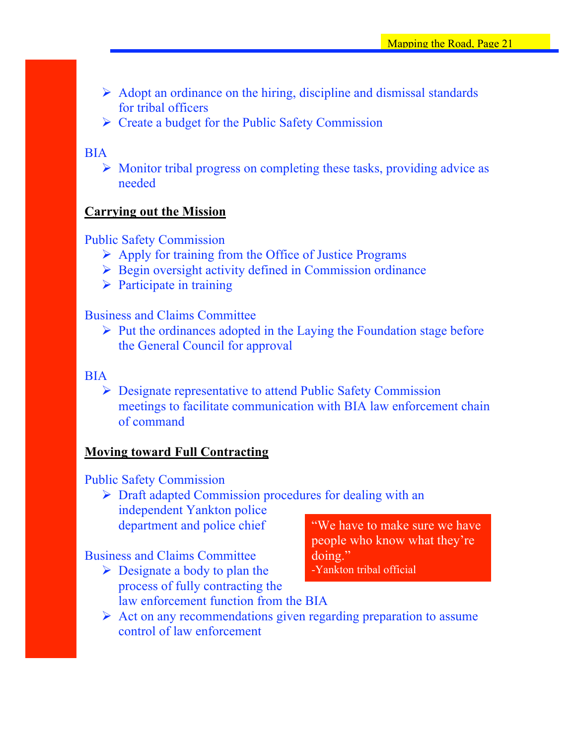- $\triangleright$  Adopt an ordinance on the hiring, discipline and dismissal standards for tribal officers
- $\triangleright$  Create a budget for the Public Safety Commission

## BIA

 $\triangleright$  Monitor tribal progress on completing these tasks, providing advice as needed

## **Carrying out the Mission**

## Public Safety Commission

- $\triangleright$  Apply for training from the Office of Justice Programs
- $\triangleright$  Begin oversight activity defined in Commission ordinance
- $\triangleright$  Participate in training

### Business and Claims Committee

 $\triangleright$  Put the ordinances adopted in the Laying the Foundation stage before the General Council for approval

### BIA

 Designate representative to attend Public Safety Commission meetings to facilitate communication with BIA law enforcement chain of command

## **Moving toward Full Contracting**

## Public Safety Commission

 $\triangleright$  Draft adapted Commission procedures for dealing with an independent Yankton police department and police chief

## Business and Claims Committee

 $\triangleright$  Designate a body to plan the process of fully contracting the law enforcement function from the BIA

"We have to make sure we have people who know what they're doing." -Yankton tribal official

 $\triangleright$  Act on any recommendations given regarding preparation to assume control of law enforcement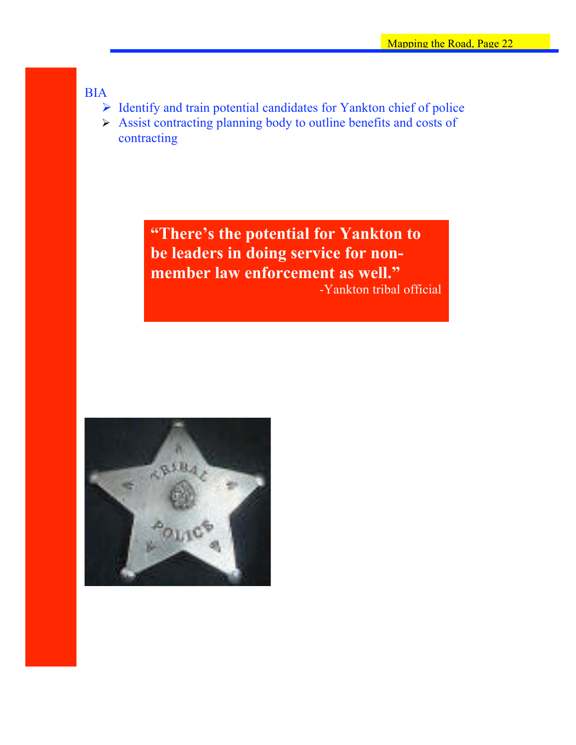BIA

- $\triangleright$  Identify and train potential candidates for Yankton chief of police
- Assist contracting planning body to outline benefits and costs of contracting

**"There's the potential for Yankton to be leaders in doing service for nonmember law enforcement as well."** -Yankton tribal official

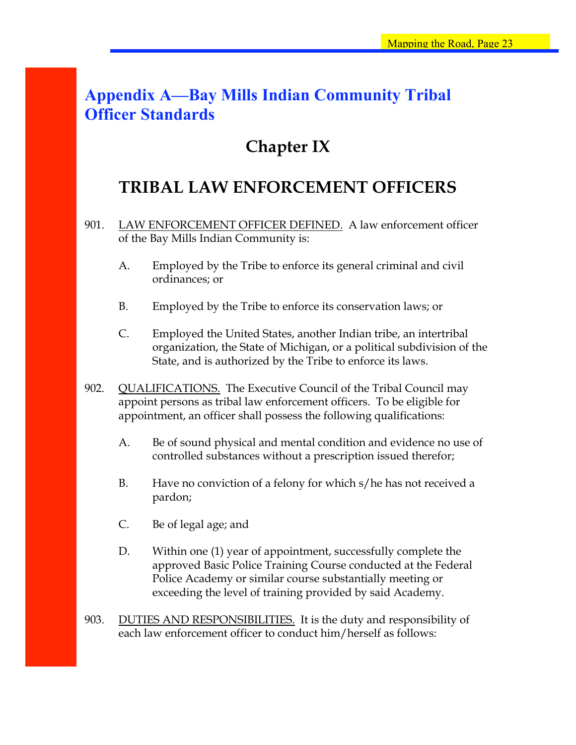# **Appendix A—Bay Mills Indian Community Tribal Officer Standards**

# **Chapter IX**

# **TRIBAL LAW ENFORCEMENT OFFICERS**

- 901. LAW ENFORCEMENT OFFICER DEFINED. A law enforcement officer of the Bay Mills Indian Community is:
	- A. Employed by the Tribe to enforce its general criminal and civil ordinances; or
	- B. Employed by the Tribe to enforce its conservation laws; or
	- C. Employed the United States, another Indian tribe, an intertribal organization, the State of Michigan, or a political subdivision of the State, and is authorized by the Tribe to enforce its laws.
- 902. QUALIFICATIONS. The Executive Council of the Tribal Council may appoint persons as tribal law enforcement officers. To be eligible for appointment, an officer shall possess the following qualifications:
	- A. Be of sound physical and mental condition and evidence no use of controlled substances without a prescription issued therefor;
	- B. Have no conviction of a felony for which s/he has not received a pardon;
	- C. Be of legal age; and
	- D. Within one (1) year of appointment, successfully complete the approved Basic Police Training Course conducted at the Federal Police Academy or similar course substantially meeting or exceeding the level of training provided by said Academy.
- 903. DUTIES AND RESPONSIBILITIES. It is the duty and responsibility of each law enforcement officer to conduct him/herself as follows: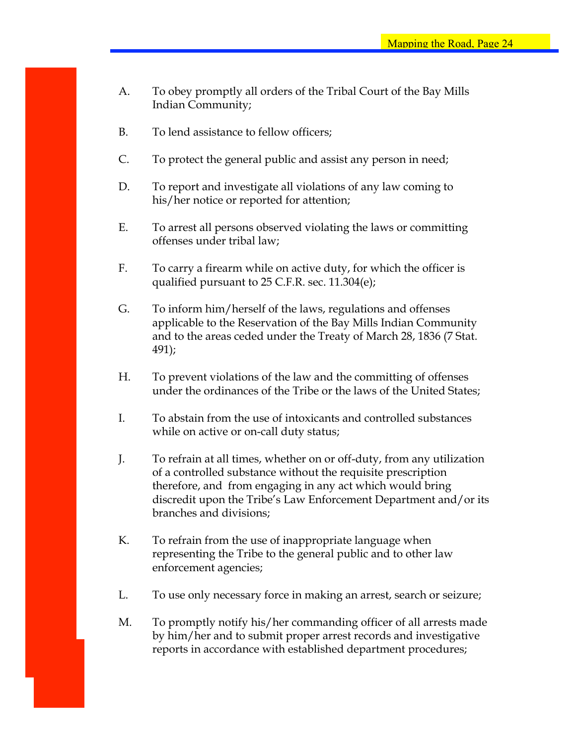- A. To obey promptly all orders of the Tribal Court of the Bay Mills Indian Community;
- B. To lend assistance to fellow officers;
- C. To protect the general public and assist any person in need;
- D. To report and investigate all violations of any law coming to his/her notice or reported for attention;
- E. To arrest all persons observed violating the laws or committing offenses under tribal law;
- F. To carry a firearm while on active duty, for which the officer is qualified pursuant to 25 C.F.R. sec. 11.304(e);
- G. To inform him/herself of the laws, regulations and offenses applicable to the Reservation of the Bay Mills Indian Community and to the areas ceded under the Treaty of March 28, 1836 (7 Stat. 491);
- H. To prevent violations of the law and the committing of offenses under the ordinances of the Tribe or the laws of the United States;
- I. To abstain from the use of intoxicants and controlled substances while on active or on-call duty status;
- J. To refrain at all times, whether on or off-duty, from any utilization of a controlled substance without the requisite prescription therefore, and from engaging in any act which would bring discredit upon the Tribe's Law Enforcement Department and/or its branches and divisions;
- K. To refrain from the use of inappropriate language when representing the Tribe to the general public and to other law enforcement agencies;
- L. To use only necessary force in making an arrest, search or seizure;
- M. To promptly notify his/her commanding officer of all arrests made by him/her and to submit proper arrest records and investigative reports in accordance with established department procedures;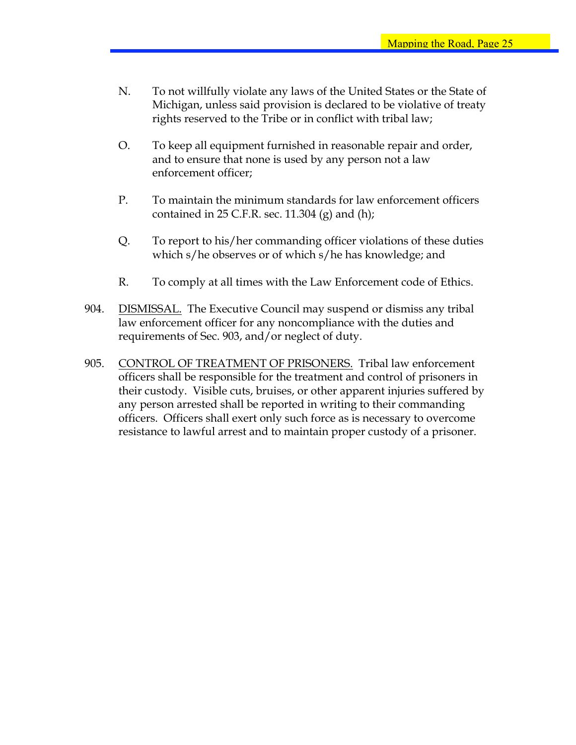- N. To not willfully violate any laws of the United States or the State of Michigan, unless said provision is declared to be violative of treaty rights reserved to the Tribe or in conflict with tribal law;
- O. To keep all equipment furnished in reasonable repair and order, and to ensure that none is used by any person not a law enforcement officer;
- P. To maintain the minimum standards for law enforcement officers contained in  $25$  C.F.R. sec. 11.304 (g) and (h);
- Q. To report to his/her commanding officer violations of these duties which s/he observes or of which s/he has knowledge; and
- R. To comply at all times with the Law Enforcement code of Ethics.
- 904. DISMISSAL. The Executive Council may suspend or dismiss any tribal law enforcement officer for any noncompliance with the duties and requirements of Sec. 903, and/or neglect of duty.
- 905. CONTROL OF TREATMENT OF PRISONERS. Tribal law enforcement officers shall be responsible for the treatment and control of prisoners in their custody. Visible cuts, bruises, or other apparent injuries suffered by any person arrested shall be reported in writing to their commanding officers. Officers shall exert only such force as is necessary to overcome resistance to lawful arrest and to maintain proper custody of a prisoner.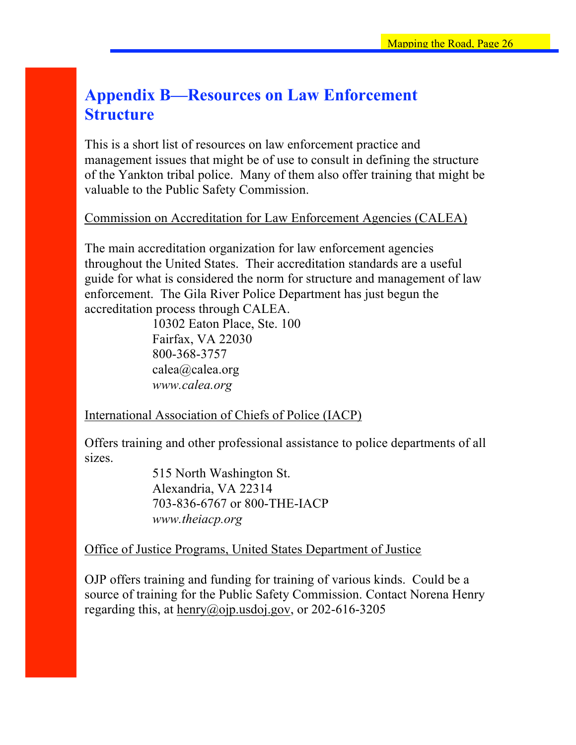# **Appendix B—Resources on Law Enforcement Structure**

This is a short list of resources on law enforcement practice and management issues that might be of use to consult in defining the structure of the Yankton tribal police. Many of them also offer training that might be valuable to the Public Safety Commission.

Commission on Accreditation for Law Enforcement Agencies (CALEA)

The main accreditation organization for law enforcement agencies throughout the United States. Their accreditation standards are a useful guide for what is considered the norm for structure and management of law enforcement. The Gila River Police Department has just begun the accreditation process through CALEA.

10302 Eaton Place, Ste. 100 Fairfax, VA 22030 800-368-3757 calea@calea.org *www.calea.org*

International Association of Chiefs of Police (IACP)

Offers training and other professional assistance to police departments of all sizes.

> 515 North Washington St. Alexandria, VA 22314 703-836-6767 or 800-THE-IACP *www.theiacp.org*

## Office of Justice Programs, United States Department of Justice

OJP offers training and funding for training of various kinds. Could be a source of training for the Public Safety Commission. Contact Norena Henry regarding this, at henry@ojp.usdoj.gov, or 202-616-3205